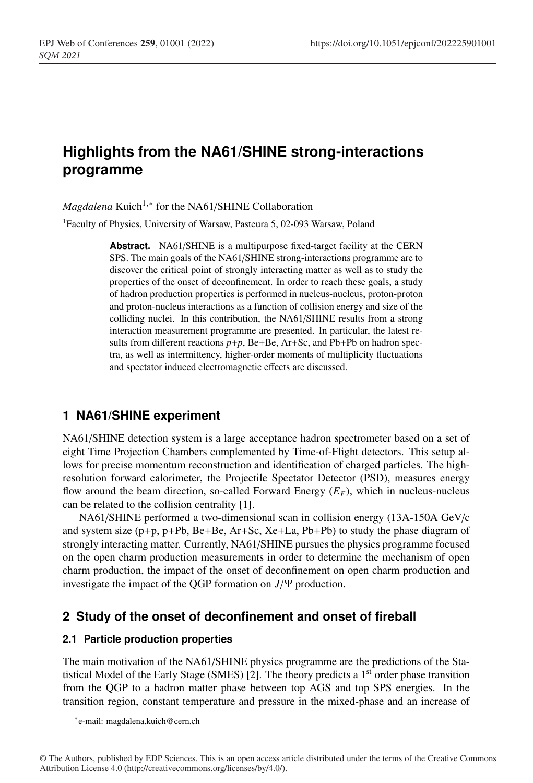# **Highlights from the NA61/SHINE strong-interactions programme**

*Magdalena* Kuich<sup>1,∗</sup> for the NA61/SHINE Collaboration

<sup>1</sup>Faculty of Physics, University of Warsaw, Pasteura 5, 02-093 Warsaw, Poland

**Abstract.** NA61/SHINE is a multipurpose fixed-target facility at the CERN SPS. The main goals of the NA61/SHINE strong-interactions programme are to discover the critical point of strongly interacting matter as well as to study the properties of the onset of deconfinement. In order to reach these goals, a study of hadron production properties is performed in nucleus-nucleus, proton-proton and proton-nucleus interactions as a function of collision energy and size of the colliding nuclei. In this contribution, the NA61/SHINE results from a strong interaction measurement programme are presented. In particular, the latest results from different reactions  $p+p$ , Be+Be, Ar+Sc, and Pb+Pb on hadron spectra, as well as intermittency, higher-order moments of multiplicity fluctuations and spectator induced electromagnetic effects are discussed.

## **1 NA61/SHINE experiment**

NA61/SHINE detection system is a large acceptance hadron spectrometer based on a set of eight Time Projection Chambers complemented by Time-of-Flight detectors. This setup allows for precise momentum reconstruction and identification of charged particles. The highresolution forward calorimeter, the Projectile Spectator Detector (PSD), measures energy flow around the beam direction, so-called Forward Energy  $(E_F)$ , which in nucleus-nucleus can be related to the collision centrality [1].

NA61/SHINE performed a two-dimensional scan in collision energy (13A-150A GeV/c and system size (p+p, p+Pb, Be+Be, Ar+Sc, Xe+La, Pb+Pb) to study the phase diagram of strongly interacting matter. Currently, NA61/SHINE pursues the physics programme focused on the open charm production measurements in order to determine the mechanism of open charm production, the impact of the onset of deconfinement on open charm production and investigate the impact of the QGP formation on *J*/Ψ production.

# **2 Study of the onset of deconfinement and onset of fireball**

#### **2.1 Particle production properties**

The main motivation of the NA61/SHINE physics programme are the predictions of the Statistical Model of the Early Stage (SMES) [2]. The theory predicts a  $1<sup>st</sup>$  order phase transition from the QGP to a hadron matter phase between top AGS and top SPS energies. In the transition region, constant temperature and pressure in the mixed-phase and an increase of

<sup>∗</sup>e-mail: magdalena.kuich@cern.ch

<sup>©</sup> The Authors, published by EDP Sciences. This is an open access article distributed under the terms of the Creative Commons Attribution License 4.0 (http://creativecommons.org/licenses/by/4.0/).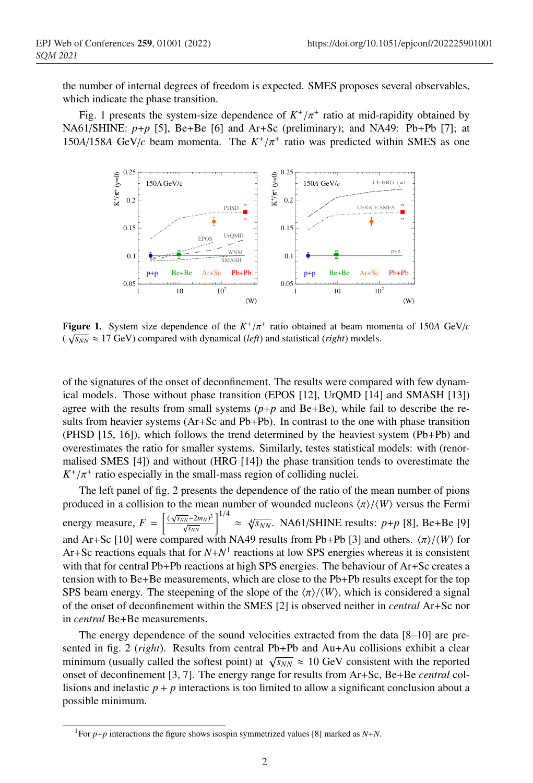the number of internal degrees of freedom is expected. SMES proposes several observables, which indicate the phase transition.

Fig. 1 presents the system-size dependence of  $K^+/\pi^+$  ratio at mid-rapidity obtained by NA61/SHINE: *p*+*p* [5], Be+Be [6] and Ar+Sc (preliminary); and NA49: Pb+Pb [7]; at 150*A*/158*A* GeV/*c* beam momenta. The  $K^+/\pi^+$  ratio was predicted within SMES as one



**Figure 1.** System size dependence of the  $K^+/\pi^+$  ratio obtained at beam momenta of 150*A* GeV/*c*  $(\sqrt{s_{NN}} \approx 17 \text{ GeV})$  compared with dynamical (*left*) and statistical (*right*) models.

of the signatures of the onset of deconfinement. The results were compared with few dynamical models. Those without phase transition (EPOS [12], UrQMD [14] and SMASH [13]) agree with the results from small systems  $(p+p)$  and  $Be+Be$ ), while fail to describe the results from heavier systems (Ar+Sc and Pb+Pb). In contrast to the one with phase transition (PHSD [15, 16]), which follows the trend determined by the heaviest system (Pb+Pb) and overestimates the ratio for smaller systems. Similarly, testes statistical models: with (renormalised SMES [4]) and without (HRG [14]) the phase transition tends to overestimate the  $K^+/\pi^+$  ratio especially in the small-mass region of colliding nuclei.

The left panel of fig. 2 presents the dependence of the ratio of the mean number of pions produced in a collision to the mean number of wounded nucleons  $\langle \pi \rangle / \langle W \rangle$  versus the Fermi energy measure,  $F = \left[\frac{(\sqrt{s_{NN}-2m_N})^3}{\sqrt{s_{NN}}} \right]^{1/4} \approx \sqrt[4]{s_{NN}}$ . NA61/SHINE results:  $p+p$  [8], Be+Be [9] and Ar+Sc [10] were compared with NA49 results from Pb+Pb [3] and others.  $\langle \pi \rangle / \langle W \rangle$  for Ar+Sc reactions equals that for  $N+N<sup>1</sup>$  reactions at low SPS energies whereas it is consistent with that for central Pb+Pb reactions at high SPS energies. The behaviour of Ar+Sc creates a tension with to Be+Be measurements, which are close to the Pb+Pb results except for the top SPS beam energy. The steepening of the slope of the  $\langle \pi \rangle / \langle W \rangle$ , which is considered a signal of the onset of deconfinement within the SMES [2] is observed neither in *central* Ar+Sc nor in *central* Be+Be measurements.

The energy dependence of the sound velocities extracted from the data [8–10] are presented in fig. 2 (*right*). Results from central Pb+Pb and Au+Au collisions exhibit a clear minimum (usually called the softest point) at  $\sqrt{s_{NN}} \approx 10 \text{ GeV}$  consistent with the reported onset of deconfinement [3, 7]. The energy range for results from Ar+Sc, Be+Be *central* collisions and inelastic  $p + p$  interactions is too limited to allow a significant conclusion about a possible minimum.

<sup>&</sup>lt;sup>1</sup>For *p*+*p* interactions the figure shows isospin symmetrized values [8] marked as *N*+*N*.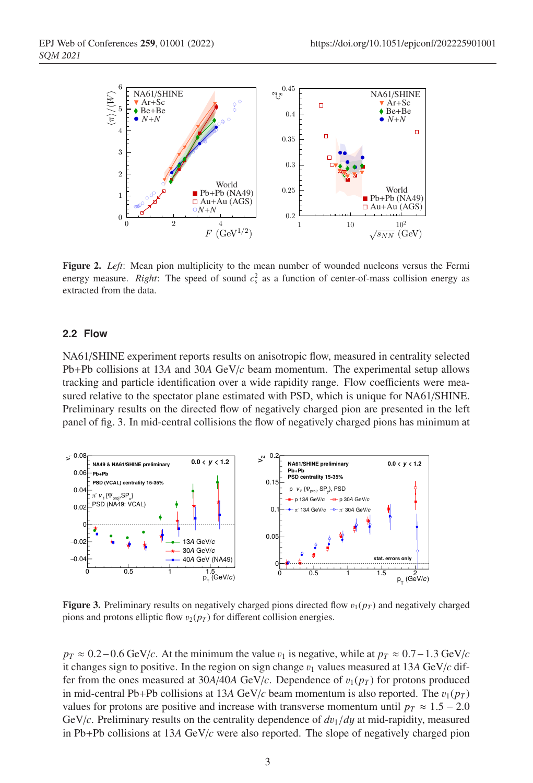

Figure 2. *Left*: Mean pion multiplicity to the mean number of wounded nucleons versus the Fermi energy measure. *Right*: The speed of sound  $c_s^2$  as a function of center-of-mass collision energy as extracted from the data.

#### **2.2 Flow**

NA61/SHINE experiment reports results on anisotropic flow, measured in centrality selected Pb+Pb collisions at 13*A* and 30*A* GeV/*c* beam momentum. The experimental setup allows tracking and particle identification over a wide rapidity range. Flow coefficients were measured relative to the spectator plane estimated with PSD, which is unique for NA61/SHINE. Preliminary results on the directed flow of negatively charged pion are presented in the left panel of fig. 3. In mid-central collisions the flow of negatively charged pions has minimum at



**Figure 3.** Preliminary results on negatively charged pions directed flow  $v_1(p_T)$  and negatively charged pions and protons elliptic flow  $v_2(p_T)$  for different collision energies.

 $p_T \approx 0.2 - 0.6$  GeV/*c*. At the minimum the value  $v_1$  is negative, while at  $p_T \approx 0.7 - 1.3$  GeV/*c* it changes sign to positive. In the region on sign change  $v_1$  values measured at 13A GeV/*c* differ from the ones measured at  $30A/40A$  GeV/*c*. Dependence of  $v_1(p_T)$  for protons produced in mid-central Pb+Pb collisions at 13A GeV/*c* beam momentum is also reported. The  $v_1(p_T)$ values for protons are positive and increase with transverse momentum until  $p_T \approx 1.5 - 2.0$ GeV/*c*. Preliminary results on the centrality dependence of  $dv_1/dy$  at mid-rapidity, measured in Pb+Pb collisions at 13*A* GeV/*c* were also reported. The slope of negatively charged pion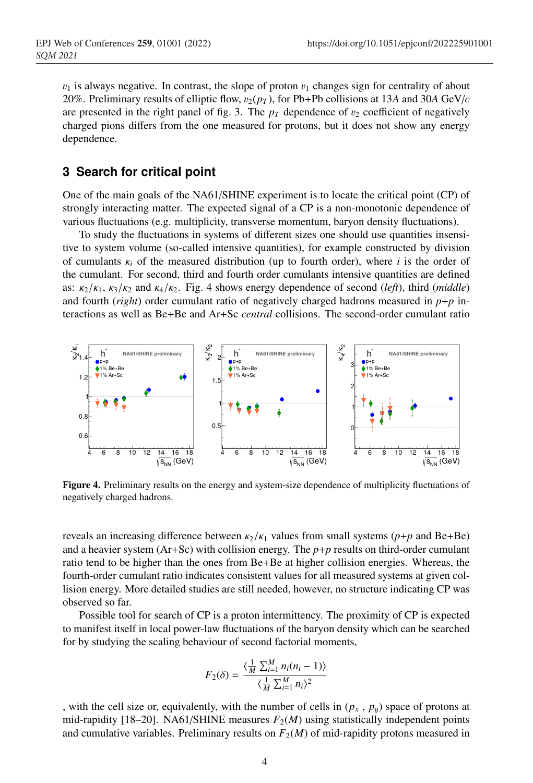$v_1$  is always negative. In contrast, the slope of proton  $v_1$  changes sign for centrality of about 20%. Preliminary results of elliptic flow,  $v_2(p_T)$ , for Pb+Pb collisions at 13A and 30A GeV/ $c$ are presented in the right panel of fig. 3. The  $p_T$  dependence of  $v_2$  coefficient of negatively charged pions differs from the one measured for protons, but it does not show any energy dependence.

### **3 Search for critical point**

One of the main goals of the NA61/SHINE experiment is to locate the critical point (CP) of strongly interacting matter. The expected signal of a CP is a non-monotonic dependence of various fluctuations (e.g. multiplicity, transverse momentum, baryon density fluctuations).

To study the fluctuations in systems of different sizes one should use quantities insensitive to system volume (so-called intensive quantities), for example constructed by division of cumulants  $\kappa_i$  of the measured distribution (up to fourth order), where *i* is the order of the cumulant. For second, third and fourth order cumulants intensive quantities are defined as:  $\kappa_2/\kappa_1$ ,  $\kappa_3/\kappa_2$  and  $\kappa_4/\kappa_2$ . Fig. 4 shows energy dependence of second (*left*), third (*middle*) and fourth (*right*) order cumulant ratio of negatively charged hadrons measured in *p*+*p* interactions as well as Be+Be and Ar+Sc *central* collisions. The second-order cumulant ratio



Figure 4. Preliminary results on the energy and system-size dependence of multiplicity fluctuations of negatively charged hadrons.

reveals an increasing difference between  $\kappa_2/\kappa_1$  values from small systems ( $p+p$  and Be+Be) and a heavier system (Ar+Sc) with collision energy. The *p*+*p* results on third-order cumulant ratio tend to be higher than the ones from Be+Be at higher collision energies. Whereas, the fourth-order cumulant ratio indicates consistent values for all measured systems at given collision energy. More detailed studies are still needed, however, no structure indicating CP was observed so far.

Possible tool for search of CP is a proton intermittency. The proximity of CP is expected to manifest itself in local power-law fluctuations of the baryon density which can be searched for by studying the scaling behaviour of second factorial moments,

$$
F_2(\delta) = \frac{\langle \frac{1}{M} \sum_{i=1}^M n_i(n_i - 1) \rangle}{\langle \frac{1}{M} \sum_{i=1}^M n_i \rangle^2}
$$

, with the cell size or, equivalently, with the number of cells in  $(p_x, p_y)$  space of protons at mid-rapidity [18–20]. NA61/SHINE measures  $F_2(M)$  using statistically independent points and cumulative variables. Preliminary results on  $F_2(M)$  of mid-rapidity protons measured in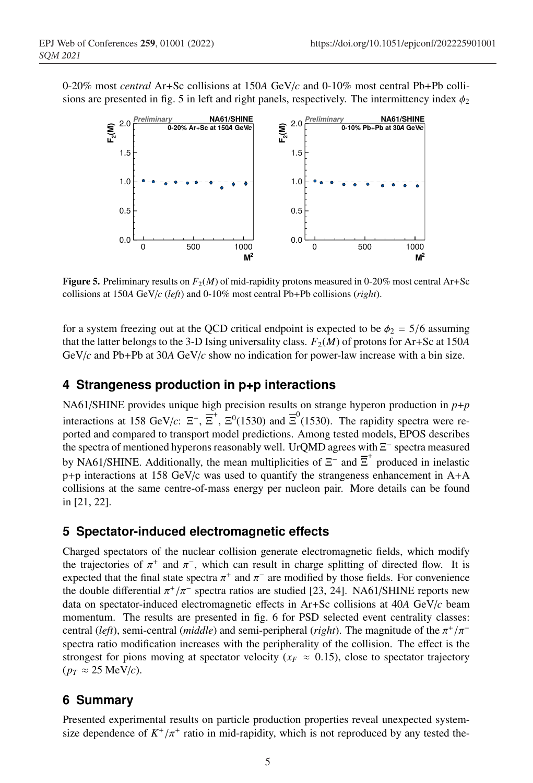0-20% most *central* Ar+Sc collisions at 150*A* GeV/*c* and 0-10% most central Pb+Pb collisions are presented in fig. 5 in left and right panels, respectively. The intermittency index  $\phi_2$ 



**Figure 5.** Preliminary results on  $F_2(M)$  of mid-rapidity protons measured in 0-20% most central Ar+Sc collisions at 150*A* GeV/*c* (*left*) and 0-10% most central Pb+Pb collisions (*right*).

for a system freezing out at the QCD critical endpoint is expected to be  $\phi_2 = 5/6$  assuming that the latter belongs to the 3-D Ising universality class.  $F_2(M)$  of protons for Ar+Sc at 150*A* GeV/*c* and Pb+Pb at 30*A* GeV/*c* show no indication for power-law increase with a bin size.

# **4 Strangeness production in p+p interactions**

NA61/SHINE provides unique high precision results on strange hyperon production in *p*+*p* interactions at 158 GeV/*c*:  $\Xi^-$ ,  $\overline{\Xi}^+$ ,  $\Xi^0(1530)$  and  $\overline{\Xi}^0(1530)$ . The rapidity spectra were reported and compared to transport model predictions. Among tested models, EPOS describes the spectra of mentioned hyperons reasonably well. UrQMD agrees with Ξ<sup>−</sup> spectra measured by NA61/SHINE. Additionally, the mean multiplicities of  $\Xi^-$  and  $\overline{\Xi}^+$  produced in inelastic  $p+p$  interactions at 158 GeV/c was used to quantify the strangeness enhancement in  $A+A$ collisions at the same centre-of-mass energy per nucleon pair. More details can be found in [21, 22].

# **5 Spectator-induced electromagnetic effects**

Charged spectators of the nuclear collision generate electromagnetic fields, which modify the trajectories of  $\pi^+$  and  $\pi^-$ , which can result in charge splitting of directed flow. It is expected that the final state spectra  $\pi^+$  and  $\pi^-$  are modified by those fields. For convenience the double differential  $\pi^*/\pi^-$  spectra ratios are studied [23, 24]. NA61/SHINE reports new data on spectator-induced electromagnetic effects in Ar+Sc collisions at 40*A* GeV/*c* beam momentum. The results are presented in fig. 6 for PSD selected event centrality classes: central (*left*), semi-central (*middle*) and semi-peripheral (*right*). The magnitude of the  $\pi^{+}/\pi^{-}$ spectra ratio modification increases with the peripherality of the collision. The effect is the strongest for pions moving at spectator velocity ( $x_F \approx 0.15$ ), close to spectator trajectory  $(p_T \approx 25 \text{ MeV}/c)$ .

# **6 Summary**

Presented experimental results on particle production properties reveal unexpected systemsize dependence of  $K^+/\pi^+$  ratio in mid-rapidity, which is not reproduced by any tested the-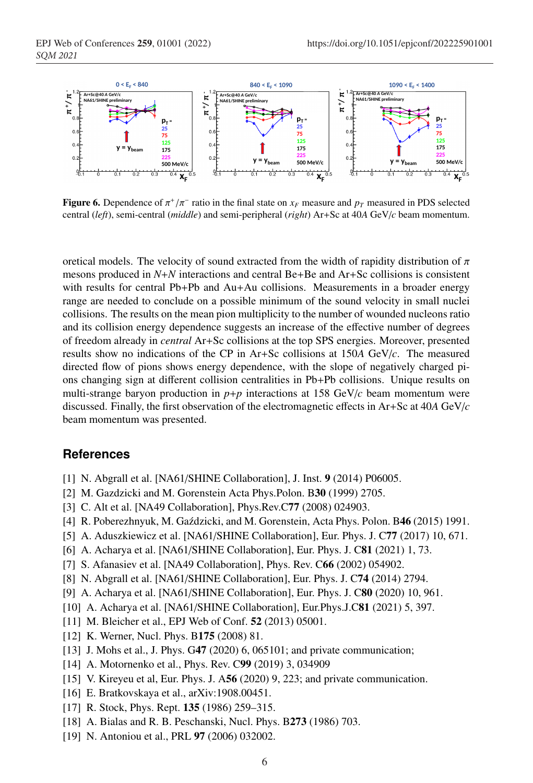

**Figure 6.** Dependence of  $\pi^{+}/\pi^{-}$  ratio in the final state on  $x_F$  measure and  $p_T$  measured in PDS selected central (*left*), semi-central (*middle*) and semi-peripheral (*right*) Ar+Sc at 40*A* GeV/*c* beam momentum.

oretical models. The velocity of sound extracted from the width of rapidity distribution of  $\pi$ mesons produced in *N*+*N* interactions and central Be+Be and Ar+Sc collisions is consistent with results for central Pb+Pb and Au+Au collisions. Measurements in a broader energy range are needed to conclude on a possible minimum of the sound velocity in small nuclei collisions. The results on the mean pion multiplicity to the number of wounded nucleons ratio and its collision energy dependence suggests an increase of the effective number of degrees of freedom already in *central* Ar+Sc collisions at the top SPS energies. Moreover, presented results show no indications of the CP in Ar+Sc collisions at 150*A* GeV/*c*. The measured directed flow of pions shows energy dependence, with the slope of negatively charged pions changing sign at different collision centralities in Pb+Pb collisions. Unique results on multi-strange baryon production in  $p+p$  interactions at 158 GeV/ $c$  beam momentum were discussed. Finally, the first observation of the electromagnetic effects in Ar+Sc at 40*A* GeV/*c* beam momentum was presented.

#### **References**

- [1] N. Abgrall et al. [NA61/SHINE Collaboration], J. Inst. 9 (2014) P06005.
- [2] M. Gazdzicki and M. Gorenstein Acta Phys.Polon. B30 (1999) 2705.
- [3] C. Alt et al. [NA49 Collaboration], Phys.Rev.C77 (2008) 024903.
- [4] R. Poberezhnyuk, M. Gaździcki, and M. Gorenstein, Acta Phys. Polon. B46 (2015) 1991.
- [5] A. Aduszkiewicz et al. [NA61/SHINE Collaboration], Eur. Phys. J. C77 (2017) 10, 671.
- [6] A. Acharya et al. [NA61/SHINE Collaboration], Eur. Phys. J. C81 (2021) 1, 73.
- [7] S. Afanasiev et al. [NA49 Collaboration], Phys. Rev. C66 (2002) 054902.
- [8] N. Abgrall et al. [NA61/SHINE Collaboration], Eur. Phys. J. C74 (2014) 2794.
- [9] A. Acharya et al. [NA61/SHINE Collaboration], Eur. Phys. J. C80 (2020) 10, 961.
- [10] A. Acharya et al. [NA61/SHINE Collaboration], Eur.Phys.J.C81 (2021) 5, 397.
- [11] M. Bleicher et al., EPJ Web of Conf. **52** (2013) 05001.
- [12] K. Werner, Nucl. Phys. B175 (2008) 81.
- [13] J. Mohs et al., J. Phys. G47 (2020) 6, 065101; and private communication;
- [14] A. Motornenko et al., Phys. Rev. C99 (2019) 3, 034909
- [15] V. Kireyeu et al, Eur. Phys. J. A56 (2020) 9, 223; and private communication.
- [16] E. Bratkovskaya et al., arXiv:1908.00451.
- [17] R. Stock, Phys. Rept. **135** (1986) 259–315.
- [18] A. Bialas and R. B. Peschanski, Nucl. Phys. B273 (1986) 703.
- [19] N. Antoniou et al., PRL **97** (2006) 032002.